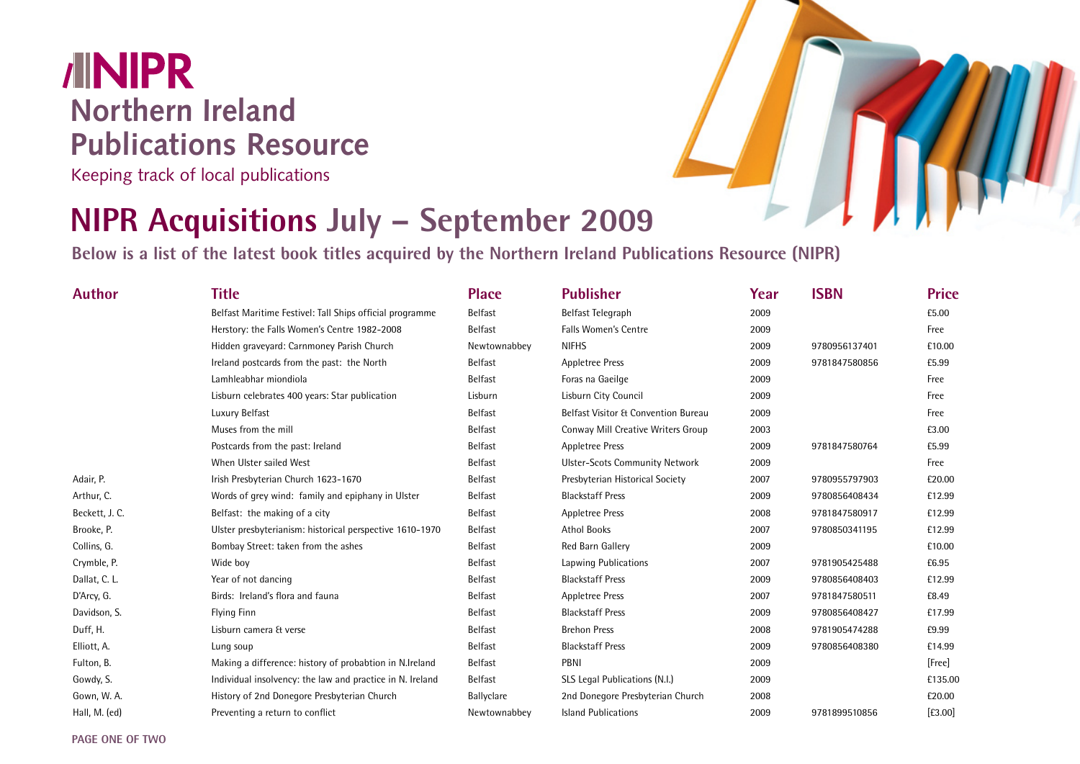## **/INIPR Northern Ireland Publications Resource**

Keeping track of local publications

## **NIPR Acquisitions July – September 2009**

**Below is a list of the latest book titles acquired by the Northern Ireland Publications Resource (NIPR)**

| <b>Author</b>  | <b>Title</b>                                              | <b>Place</b>   | <b>Publisher</b>                      | Year | <b>ISBN</b>   | <b>Price</b> |
|----------------|-----------------------------------------------------------|----------------|---------------------------------------|------|---------------|--------------|
|                | Belfast Maritime Festivel: Tall Ships official programme  | <b>Belfast</b> | Belfast Telegraph                     | 2009 |               | £5.00        |
|                | Herstory: the Falls Women's Centre 1982-2008              | Belfast        | <b>Falls Women's Centre</b>           | 2009 |               | Free         |
|                | Hidden graveyard: Carnmoney Parish Church                 | Newtownabbey   | <b>NIFHS</b>                          | 2009 | 9780956137401 | £10.00       |
|                | Ireland postcards from the past: the North                | Belfast        | <b>Appletree Press</b>                | 2009 | 9781847580856 | £5.99        |
|                | Lamhleabhar miondiola                                     | Belfast        | Foras na Gaeilge                      | 2009 |               | Free         |
|                | Lisburn celebrates 400 years: Star publication            | Lisburn        | Lisburn City Council                  | 2009 |               | Free         |
|                | Luxury Belfast                                            | Belfast        | Belfast Visitor & Convention Bureau   | 2009 |               | Free         |
|                | Muses from the mill                                       | Belfast        | Conway Mill Creative Writers Group    | 2003 |               | £3.00        |
|                | Postcards from the past: Ireland                          | Belfast        | <b>Appletree Press</b>                | 2009 | 9781847580764 | £5.99        |
|                | When Ulster sailed West                                   | <b>Belfast</b> | <b>Ulster-Scots Community Network</b> | 2009 |               | Free         |
| Adair, P.      | Irish Presbyterian Church 1623-1670                       | Belfast        | Presbyterian Historical Society       | 2007 | 9780955797903 | £20.00       |
| Arthur, C.     | Words of grey wind: family and epiphany in Ulster         | Belfast        | <b>Blackstaff Press</b>               | 2009 | 9780856408434 | £12.99       |
| Beckett, J. C. | Belfast: the making of a city                             | Belfast        | <b>Appletree Press</b>                | 2008 | 9781847580917 | £12.99       |
| Brooke, P.     | Ulster presbyterianism: historical perspective 1610-1970  | Belfast        | <b>Athol Books</b>                    | 2007 | 9780850341195 | £12.99       |
| Collins, G.    | Bombay Street: taken from the ashes                       | Belfast        | Red Barn Gallery                      | 2009 |               | £10.00       |
| Crymble, P.    | Wide boy                                                  | Belfast        | Lapwing Publications                  | 2007 | 9781905425488 | £6.95        |
| Dallat, C. L.  | Year of not dancing                                       | Belfast        | <b>Blackstaff Press</b>               | 2009 | 9780856408403 | £12.99       |
| D'Arcy, G.     | Birds: Ireland's flora and fauna                          | Belfast        | <b>Appletree Press</b>                | 2007 | 9781847580511 | £8.49        |
| Davidson, S.   | <b>Flying Finn</b>                                        | Belfast        | <b>Blackstaff Press</b>               | 2009 | 9780856408427 | £17.99       |
| Duff, H.       | Lisburn camera & verse                                    | Belfast        | <b>Brehon Press</b>                   | 2008 | 9781905474288 | £9.99        |
| Elliott, A.    | Lung soup                                                 | <b>Belfast</b> | <b>Blackstaff Press</b>               | 2009 | 9780856408380 | £14.99       |
| Fulton, B.     | Making a difference: history of probabtion in N.Ireland   | Belfast        | PBNI                                  | 2009 |               | [Free]       |
| Gowdy, S.      | Individual insolvency: the law and practice in N. Ireland | Belfast        | SLS Legal Publications (N.I.)         | 2009 |               | £135.00      |
| Gown, W. A.    | History of 2nd Donegore Presbyterian Church               | Ballyclare     | 2nd Donegore Presbyterian Church      | 2008 |               | £20.00       |
| Hall, M. (ed)  | Preventing a return to conflict                           | Newtownabbey   | <b>Island Publications</b>            | 2009 | 9781899510856 | $[£3.00]$    |

**PAGE ONE OF TWO**